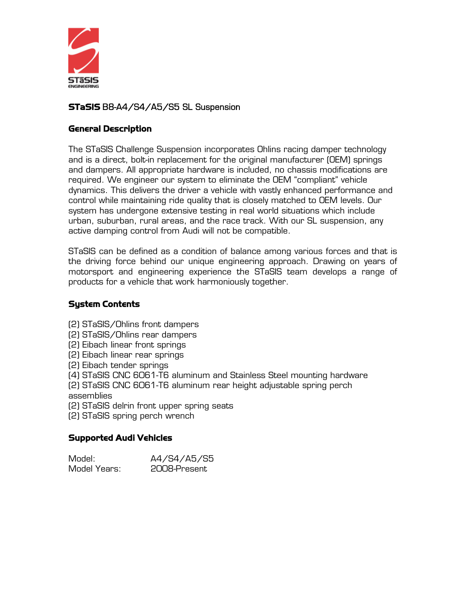

## STaSIS B8-A4/S4/A5/S5 SL Suspension

## General Description

The STaSIS Challenge Suspension incorporates Ohlins racing damper technology and is a direct, bolt-in replacement for the original manufacturer (OEM) springs and dampers. All appropriate hardware is included, no chassis modifications are required. We engineer our system to eliminate the OEM "compliant" vehicle dynamics. This delivers the driver a vehicle with vastly enhanced performance and control while maintaining ride quality that is closely matched to OEM levels. Our system has undergone extensive testing in real world situations which include urban, suburban, rural areas, and the race track. With our SL suspension, any active damping control from Audi will not be compatible.

STaSIS can be defined as a condition of balance among various forces and that is the driving force behind our unique engineering approach. Drawing on years of motorsport and engineering experience the STaSIS team develops a range of products for a vehicle that work harmoniously together.

## System Contents

(2) STaSIS/Ohlins front dampers

(2) STaSIS/Ohlins rear dampers

(2) Eibach linear front springs

(2) Eibach linear rear springs

(2) Eibach tender springs

(4) STaSIS CNC 6061-T6 aluminum and Stainless Steel mounting hardware

(2) STaSIS CNC 6061-T6 aluminum rear height adjustable spring perch assemblies

(2) STaSIS delrin front upper spring seats

(2) STaSIS spring perch wrench

## Supported Audi Vehicles

| Model:       | A4/S4/A5/S5  |
|--------------|--------------|
| Model Years: | 2008-Present |